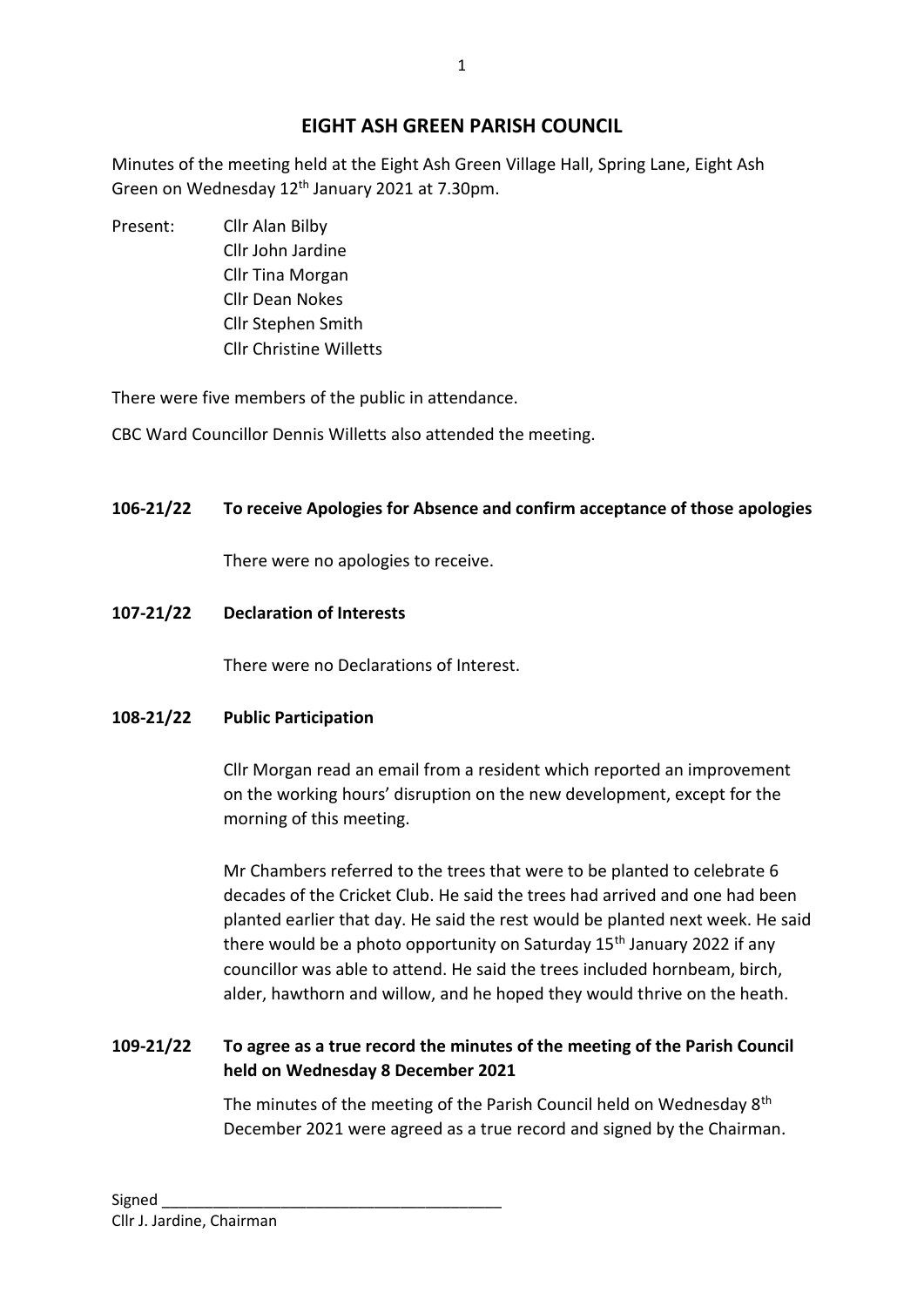# **EIGHT ASH GREEN PARISH COUNCIL**

Minutes of the meeting held at the Eight Ash Green Village Hall, Spring Lane, Eight Ash Green on Wednesday 12th January 2021 at 7.30pm.

Present: Cllr Alan Bilby Cllr John Jardine Cllr Tina Morgan Cllr Dean Nokes Cllr Stephen Smith Cllr Christine Willetts

There were five members of the public in attendance.

CBC Ward Councillor Dennis Willetts also attended the meeting.

## **106-21/22 To receive Apologies for Absence and confirm acceptance of those apologies**

There were no apologies to receive.

## **107-21/22 Declaration of Interests**

There were no Declarations of Interest.

## **108-21/22 Public Participation**

Cllr Morgan read an email from a resident which reported an improvement on the working hours' disruption on the new development, except for the morning of this meeting.

Mr Chambers referred to the trees that were to be planted to celebrate 6 decades of the Cricket Club. He said the trees had arrived and one had been planted earlier that day. He said the rest would be planted next week. He said there would be a photo opportunity on Saturday  $15<sup>th</sup>$  January 2022 if any councillor was able to attend. He said the trees included hornbeam, birch, alder, hawthorn and willow, and he hoped they would thrive on the heath.

## **109-21/22 To agree as a true record the minutes of the meeting of the Parish Council held on Wednesday 8 December 2021**

The minutes of the meeting of the Parish Council held on Wednesday 8<sup>th</sup> December 2021 were agreed as a true record and signed by the Chairman.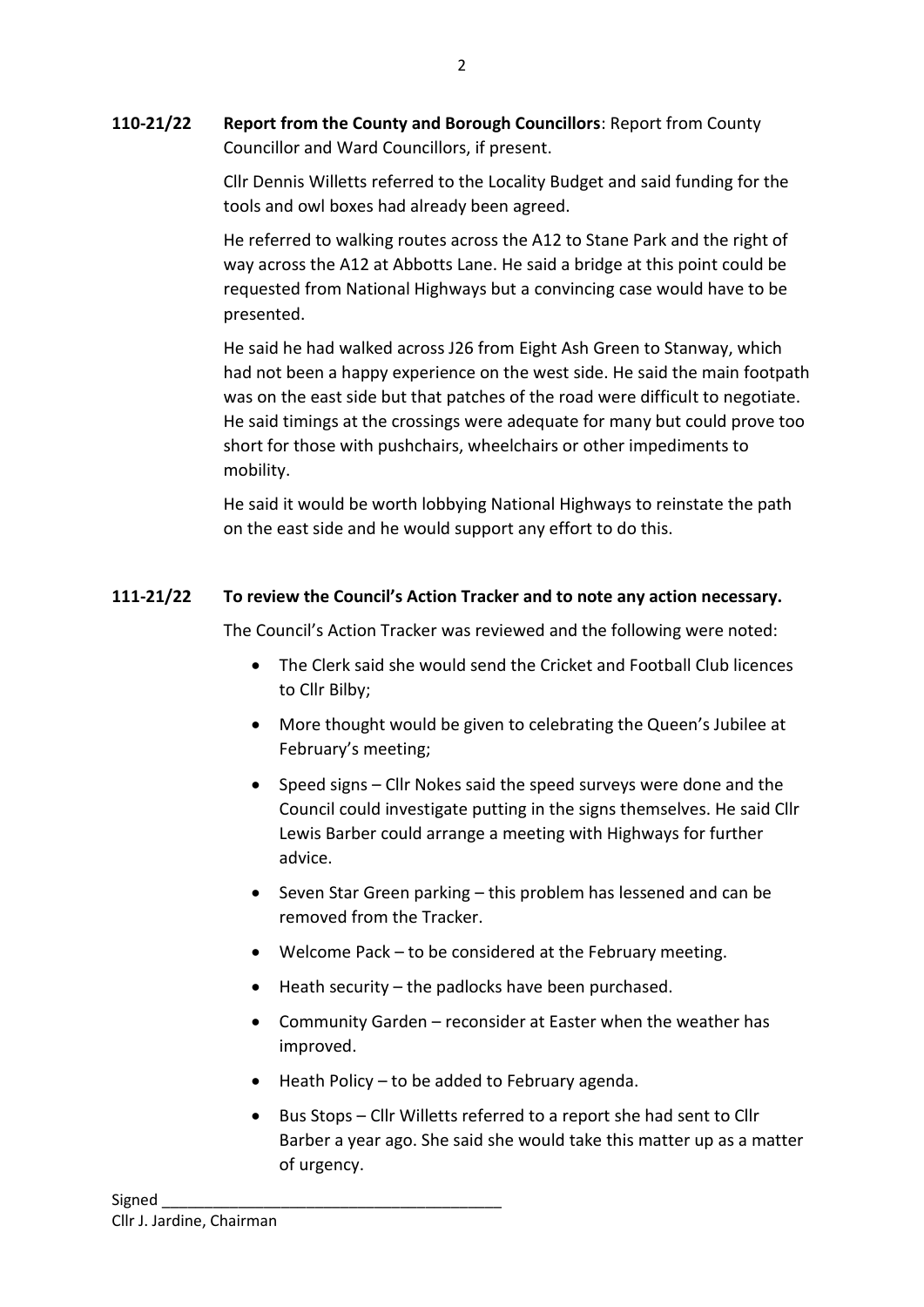**110-21/22 Report from the County and Borough Councillors**: Report from County Councillor and Ward Councillors, if present.

> Cllr Dennis Willetts referred to the Locality Budget and said funding for the tools and owl boxes had already been agreed.

> He referred to walking routes across the A12 to Stane Park and the right of way across the A12 at Abbotts Lane. He said a bridge at this point could be requested from National Highways but a convincing case would have to be presented.

He said he had walked across J26 from Eight Ash Green to Stanway, which had not been a happy experience on the west side. He said the main footpath was on the east side but that patches of the road were difficult to negotiate. He said timings at the crossings were adequate for many but could prove too short for those with pushchairs, wheelchairs or other impediments to mobility.

He said it would be worth lobbying National Highways to reinstate the path on the east side and he would support any effort to do this.

## **111-21/22 To review the Council's Action Tracker and to note any action necessary.**

The Council's Action Tracker was reviewed and the following were noted:

- The Clerk said she would send the Cricket and Football Club licences to Cllr Bilby;
- More thought would be given to celebrating the Queen's Jubilee at February's meeting;
- Speed signs Cllr Nokes said the speed surveys were done and the Council could investigate putting in the signs themselves. He said Cllr Lewis Barber could arrange a meeting with Highways for further advice.
- Seven Star Green parking this problem has lessened and can be removed from the Tracker.
- Welcome Pack to be considered at the February meeting.
- Heath security the padlocks have been purchased.
- Community Garden reconsider at Easter when the weather has improved.
- Heath Policy to be added to February agenda.
- Bus Stops Cllr Willetts referred to a report she had sent to Cllr Barber a year ago. She said she would take this matter up as a matter of urgency.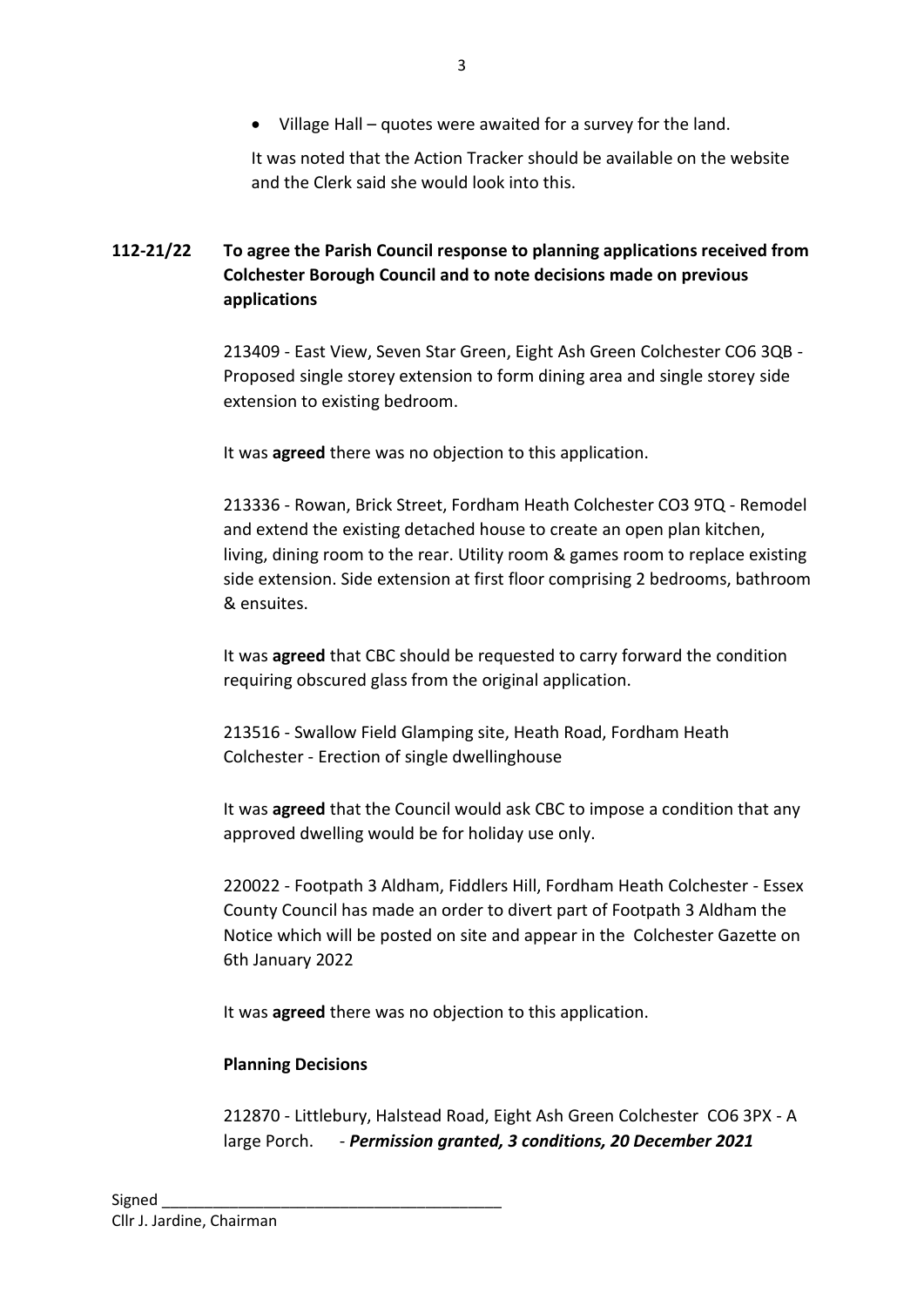• Village Hall – quotes were awaited for a survey for the land.

It was noted that the Action Tracker should be available on the website and the Clerk said she would look into this.

# **112-21/22 To agree the Parish Council response to planning applications received from Colchester Borough Council and to note decisions made on previous applications**

213409 - East View, Seven Star Green, Eight Ash Green Colchester CO6 3QB - Proposed single storey extension to form dining area and single storey side extension to existing bedroom.

It was **agreed** there was no objection to this application.

213336 - Rowan, Brick Street, Fordham Heath Colchester CO3 9TQ - Remodel and extend the existing detached house to create an open plan kitchen, living, dining room to the rear. Utility room & games room to replace existing side extension. Side extension at first floor comprising 2 bedrooms, bathroom & ensuites.

It was **agreed** that CBC should be requested to carry forward the condition requiring obscured glass from the original application.

213516 - Swallow Field Glamping site, Heath Road, Fordham Heath Colchester - Erection of single dwellinghouse

It was **agreed** that the Council would ask CBC to impose a condition that any approved dwelling would be for holiday use only.

220022 - Footpath 3 Aldham, Fiddlers Hill, Fordham Heath Colchester - Essex County Council has made an order to divert part of Footpath 3 Aldham the Notice which will be posted on site and appear in the Colchester Gazette on 6th January 2022

It was **agreed** there was no objection to this application.

### **Planning Decisions**

212870 - Littlebury, Halstead Road, Eight Ash Green Colchester CO6 3PX - A large Porch. - *Permission granted, 3 conditions, 20 December 2021*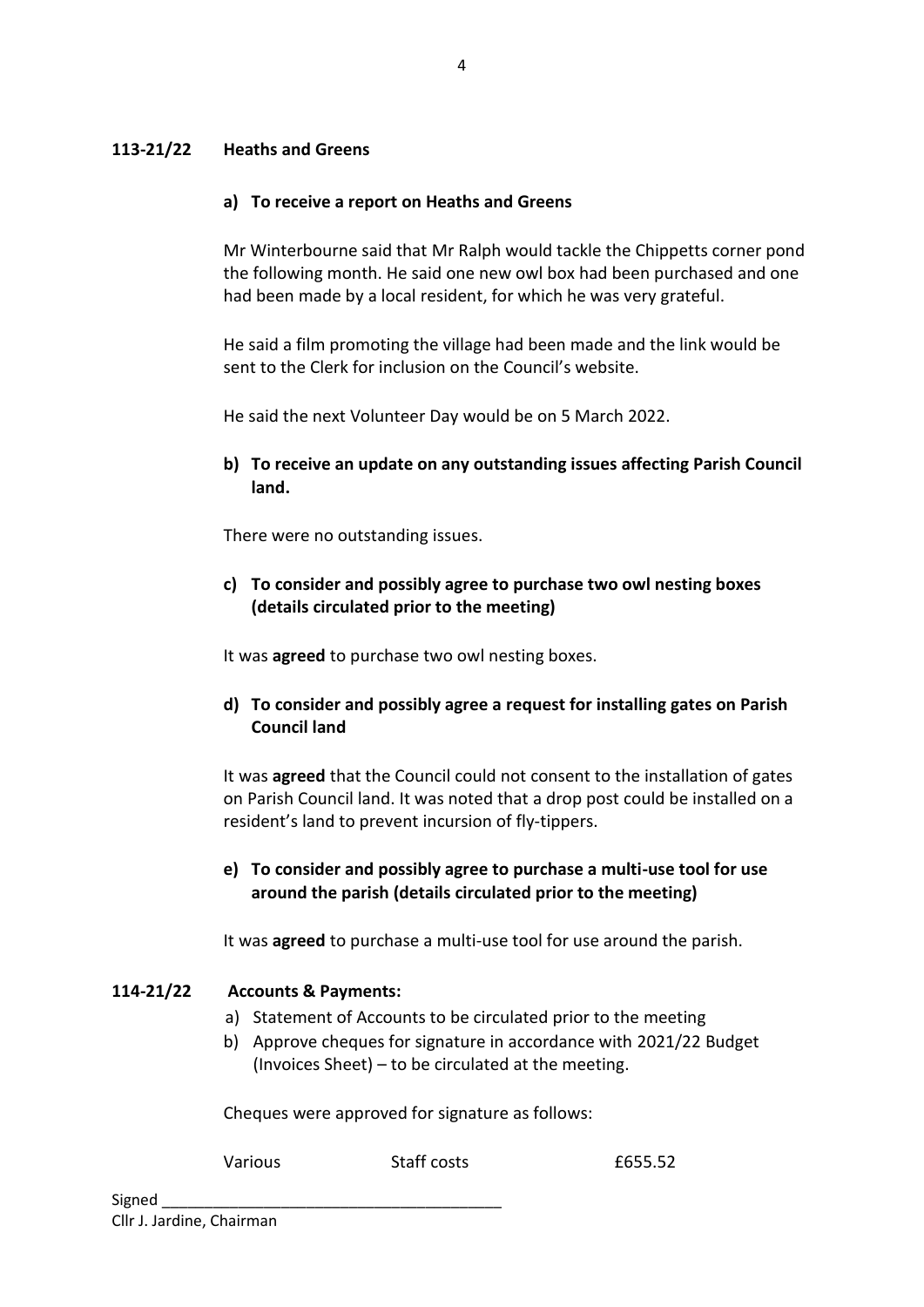### **113-21/22 Heaths and Greens**

#### **a) To receive a report on Heaths and Greens**

Mr Winterbourne said that Mr Ralph would tackle the Chippetts corner pond the following month. He said one new owl box had been purchased and one had been made by a local resident, for which he was very grateful.

He said a film promoting the village had been made and the link would be sent to the Clerk for inclusion on the Council's website.

He said the next Volunteer Day would be on 5 March 2022.

**b) To receive an update on any outstanding issues affecting Parish Council land.**

There were no outstanding issues.

**c) To consider and possibly agree to purchase two owl nesting boxes (details circulated prior to the meeting)**

It was **agreed** to purchase two owl nesting boxes.

**d) To consider and possibly agree a request for installing gates on Parish Council land**

It was **agreed** that the Council could not consent to the installation of gates on Parish Council land. It was noted that a drop post could be installed on a resident's land to prevent incursion of fly-tippers.

**e) To consider and possibly agree to purchase a multi-use tool for use around the parish (details circulated prior to the meeting)**

It was **agreed** to purchase a multi-use tool for use around the parish.

#### **114-21/22 Accounts & Payments:**

- a) Statement of Accounts to be circulated prior to the meeting
- b) Approve cheques for signature in accordance with 2021/22 Budget (Invoices Sheet) – to be circulated at the meeting.

Cheques were approved for signature as follows:

Various Staff costs 51 E655.52